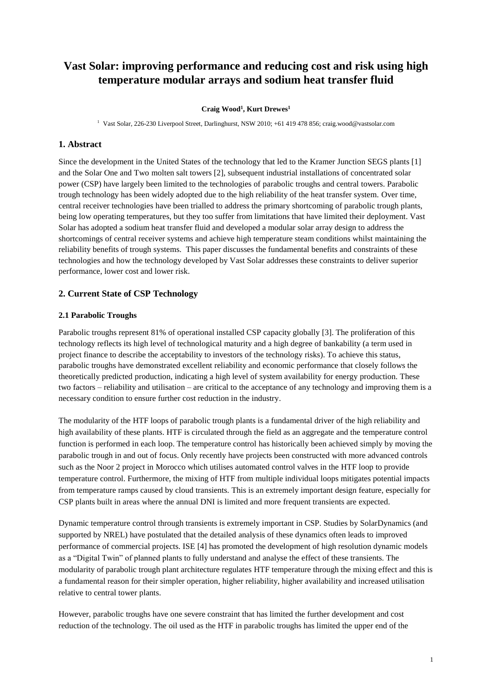# **Vast Solar: improving performance and reducing cost and risk using high temperature modular arrays and sodium heat transfer fluid**

#### **Craig Wood<sup>1</sup> , Kurt Drewes<sup>1</sup>**

<sup>1</sup> Vast Solar, 226-230 Liverpool Street, Darlinghurst, NSW 2010; +61 419 478 856; craig.wood@vastsolar.com

### **1. Abstract**

Since the development in the United States of the technology that led to the Kramer Junction SEGS plants [1] and the Solar One and Two molten salt towers [2], subsequent industrial installations of concentrated solar power (CSP) have largely been limited to the technologies of parabolic troughs and central towers. Parabolic trough technology has been widely adopted due to the high reliability of the heat transfer system. Over time, central receiver technologies have been trialled to address the primary shortcoming of parabolic trough plants, being low operating temperatures, but they too suffer from limitations that have limited their deployment. Vast Solar has adopted a sodium heat transfer fluid and developed a modular solar array design to address the shortcomings of central receiver systems and achieve high temperature steam conditions whilst maintaining the reliability benefits of trough systems. This paper discusses the fundamental benefits and constraints of these technologies and how the technology developed by Vast Solar addresses these constraints to deliver superior performance, lower cost and lower risk.

## **2. Current State of CSP Technology**

#### **2.1 Parabolic Troughs**

Parabolic troughs represent 81% of operational installed CSP capacity globally [3]. The proliferation of this technology reflects its high level of technological maturity and a high degree of bankability (a term used in project finance to describe the acceptability to investors of the technology risks). To achieve this status, parabolic troughs have demonstrated excellent reliability and economic performance that closely follows the theoretically predicted production, indicating a high level of system availability for energy production. These two factors – reliability and utilisation – are critical to the acceptance of any technology and improving them is a necessary condition to ensure further cost reduction in the industry.

The modularity of the HTF loops of parabolic trough plants is a fundamental driver of the high reliability and high availability of these plants. HTF is circulated through the field as an aggregate and the temperature control function is performed in each loop. The temperature control has historically been achieved simply by moving the parabolic trough in and out of focus. Only recently have projects been constructed with more advanced controls such as the Noor 2 project in Morocco which utilises automated control valves in the HTF loop to provide temperature control. Furthermore, the mixing of HTF from multiple individual loops mitigates potential impacts from temperature ramps caused by cloud transients. This is an extremely important design feature, especially for CSP plants built in areas where the annual DNI is limited and more frequent transients are expected.

Dynamic temperature control through transients is extremely important in CSP. Studies by SolarDynamics (and supported by NREL) have postulated that the detailed analysis of these dynamics often leads to improved performance of commercial projects. ISE [4] has promoted the development of high resolution dynamic models as a "Digital Twin" of planned plants to fully understand and analyse the effect of these transients. The modularity of parabolic trough plant architecture regulates HTF temperature through the mixing effect and this is a fundamental reason for their simpler operation, higher reliability, higher availability and increased utilisation relative to central tower plants.

However, parabolic troughs have one severe constraint that has limited the further development and cost reduction of the technology. The oil used as the HTF in parabolic troughs has limited the upper end of the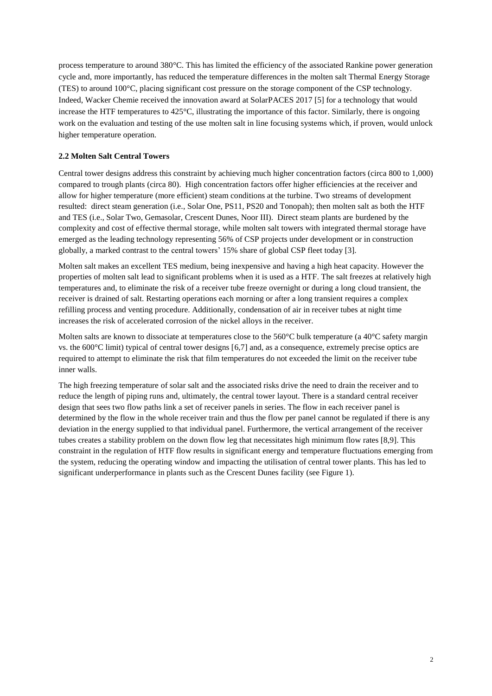process temperature to around 380°C. This has limited the efficiency of the associated Rankine power generation cycle and, more importantly, has reduced the temperature differences in the molten salt Thermal Energy Storage (TES) to around 100°C, placing significant cost pressure on the storage component of the CSP technology. Indeed, Wacker Chemie received the innovation award at SolarPACES 2017 [5] for a technology that would increase the HTF temperatures to 425°C, illustrating the importance of this factor. Similarly, there is ongoing work on the evaluation and testing of the use molten salt in line focusing systems which, if proven, would unlock higher temperature operation.

## **2.2 Molten Salt Central Towers**

Central tower designs address this constraint by achieving much higher concentration factors (circa 800 to 1,000) compared to trough plants (circa 80). High concentration factors offer higher efficiencies at the receiver and allow for higher temperature (more efficient) steam conditions at the turbine. Two streams of development resulted: direct steam generation (i.e., Solar One, PS11, PS20 and Tonopah); then molten salt as both the HTF and TES (i.e., Solar Two, Gemasolar, Crescent Dunes, Noor III). Direct steam plants are burdened by the complexity and cost of effective thermal storage, while molten salt towers with integrated thermal storage have emerged as the leading technology representing 56% of CSP projects under development or in construction globally, a marked contrast to the central towers' 15% share of global CSP fleet today [3].

Molten salt makes an excellent TES medium, being inexpensive and having a high heat capacity. However the properties of molten salt lead to significant problems when it is used as a HTF. The salt freezes at relatively high temperatures and, to eliminate the risk of a receiver tube freeze overnight or during a long cloud transient, the receiver is drained of salt. Restarting operations each morning or after a long transient requires a complex refilling process and venting procedure. Additionally, condensation of air in receiver tubes at night time increases the risk of accelerated corrosion of the nickel alloys in the receiver.

Molten salts are known to dissociate at temperatures close to the 560°C bulk temperature (a 40°C safety margin vs. the 600°C limit) typical of central tower designs [6,7] and, as a consequence, extremely precise optics are required to attempt to eliminate the risk that film temperatures do not exceeded the limit on the receiver tube inner walls.

The high freezing temperature of solar salt and the associated risks drive the need to drain the receiver and to reduce the length of piping runs and, ultimately, the central tower layout. There is a standard central receiver design that sees two flow paths link a set of receiver panels in series. The flow in each receiver panel is determined by the flow in the whole receiver train and thus the flow per panel cannot be regulated if there is any deviation in the energy supplied to that individual panel. Furthermore, the vertical arrangement of the receiver tubes creates a stability problem on the down flow leg that necessitates high minimum flow rates [8,9]. This constraint in the regulation of HTF flow results in significant energy and temperature fluctuations emerging from the system, reducing the operating window and impacting the utilisation of central tower plants. This has led to significant underperformance in plants such as the Crescent Dunes facility (see Figure 1).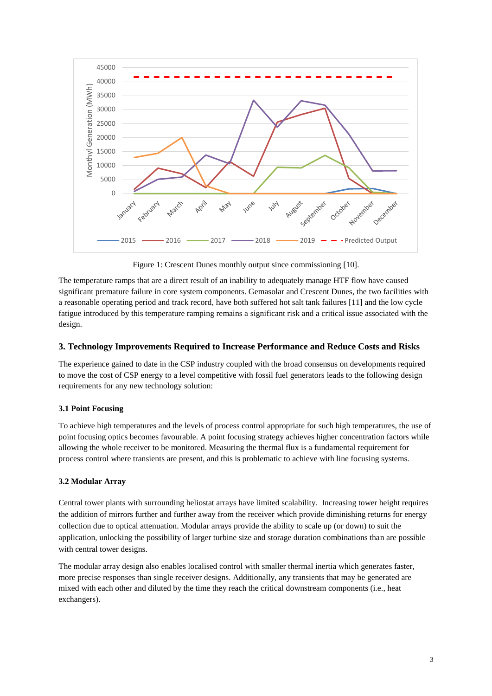

Figure 1: Crescent Dunes monthly output since commissioning [10].

The temperature ramps that are a direct result of an inability to adequately manage HTF flow have caused significant premature failure in core system components. Gemasolar and Crescent Dunes, the two facilities with a reasonable operating period and track record, have both suffered hot salt tank failures [11] and the low cycle fatigue introduced by this temperature ramping remains a significant risk and a critical issue associated with the design.

# **3. Technology Improvements Required to Increase Performance and Reduce Costs and Risks**

The experience gained to date in the CSP industry coupled with the broad consensus on developments required to move the cost of CSP energy to a level competitive with fossil fuel generators leads to the following design requirements for any new technology solution:

# **3.1 Point Focusing**

To achieve high temperatures and the levels of process control appropriate for such high temperatures, the use of point focusing optics becomes favourable. A point focusing strategy achieves higher concentration factors while allowing the whole receiver to be monitored. Measuring the thermal flux is a fundamental requirement for process control where transients are present, and this is problematic to achieve with line focusing systems.

#### **3.2 Modular Array**

Central tower plants with surrounding heliostat arrays have limited scalability. Increasing tower height requires the addition of mirrors further and further away from the receiver which provide diminishing returns for energy collection due to optical attenuation. Modular arrays provide the ability to scale up (or down) to suit the application, unlocking the possibility of larger turbine size and storage duration combinations than are possible with central tower designs.

The modular array design also enables localised control with smaller thermal inertia which generates faster, more precise responses than single receiver designs. Additionally, any transients that may be generated are mixed with each other and diluted by the time they reach the critical downstream components (i.e., heat exchangers).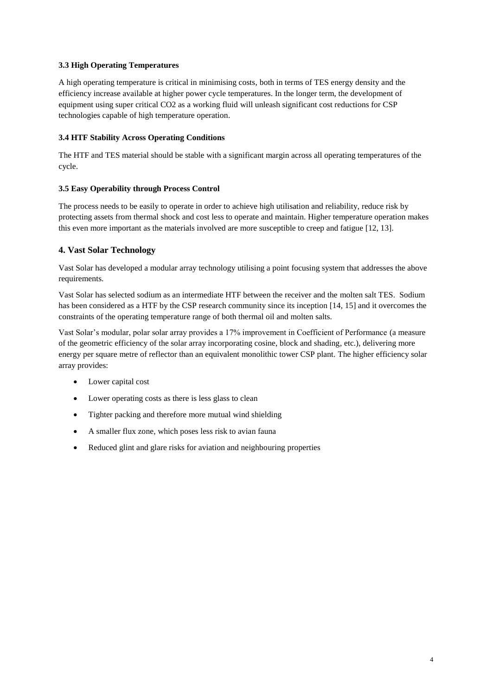# **3.3 High Operating Temperatures**

A high operating temperature is critical in minimising costs, both in terms of TES energy density and the efficiency increase available at higher power cycle temperatures. In the longer term, the development of equipment using super critical CO2 as a working fluid will unleash significant cost reductions for CSP technologies capable of high temperature operation.

### **3.4 HTF Stability Across Operating Conditions**

The HTF and TES material should be stable with a significant margin across all operating temperatures of the cycle.

## **3.5 Easy Operability through Process Control**

The process needs to be easily to operate in order to achieve high utilisation and reliability, reduce risk by protecting assets from thermal shock and cost less to operate and maintain. Higher temperature operation makes this even more important as the materials involved are more susceptible to creep and fatigue [12, 13].

# **4. Vast Solar Technology**

Vast Solar has developed a modular array technology utilising a point focusing system that addresses the above requirements.

Vast Solar has selected sodium as an intermediate HTF between the receiver and the molten salt TES. Sodium has been considered as a HTF by the CSP research community since its inception [14, 15] and it overcomes the constraints of the operating temperature range of both thermal oil and molten salts.

Vast Solar's modular, polar solar array provides a 17% improvement in Coefficient of Performance (a measure of the geometric efficiency of the solar array incorporating cosine, block and shading, etc.), delivering more energy per square metre of reflector than an equivalent monolithic tower CSP plant. The higher efficiency solar array provides:

- Lower capital cost
- Lower operating costs as there is less glass to clean
- Tighter packing and therefore more mutual wind shielding
- A smaller flux zone, which poses less risk to avian fauna
- Reduced glint and glare risks for aviation and neighbouring properties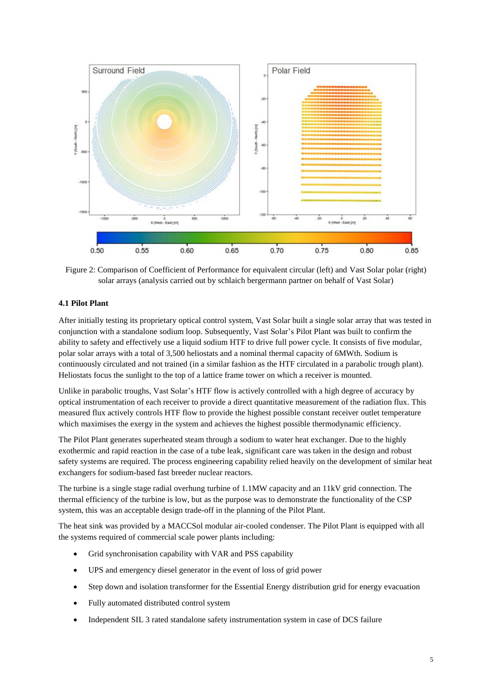

Figure 2: Comparison of Coefficient of Performance for equivalent circular (left) and Vast Solar polar (right) solar arrays (analysis carried out by schlaich bergermann partner on behalf of Vast Solar)

## **4.1 Pilot Plant**

After initially testing its proprietary optical control system, Vast Solar built a single solar array that was tested in conjunction with a standalone sodium loop. Subsequently, Vast Solar's Pilot Plant was built to confirm the ability to safety and effectively use a liquid sodium HTF to drive full power cycle. It consists of five modular, polar solar arrays with a total of 3,500 heliostats and a nominal thermal capacity of 6MWth. Sodium is continuously circulated and not trained (in a similar fashion as the HTF circulated in a parabolic trough plant). Heliostats focus the sunlight to the top of a lattice frame tower on which a receiver is mounted.

Unlike in parabolic troughs, Vast Solar's HTF flow is actively controlled with a high degree of accuracy by optical instrumentation of each receiver to provide a direct quantitative measurement of the radiation flux. This measured flux actively controls HTF flow to provide the highest possible constant receiver outlet temperature which maximises the exergy in the system and achieves the highest possible thermodynamic efficiency.

The Pilot Plant generates superheated steam through a sodium to water heat exchanger. Due to the highly exothermic and rapid reaction in the case of a tube leak, significant care was taken in the design and robust safety systems are required. The process engineering capability relied heavily on the development of similar heat exchangers for sodium-based fast breeder nuclear reactors.

The turbine is a single stage radial overhung turbine of 1.1MW capacity and an 11kV grid connection. The thermal efficiency of the turbine is low, but as the purpose was to demonstrate the functionality of the CSP system, this was an acceptable design trade-off in the planning of the Pilot Plant.

The heat sink was provided by a MACCSol modular air-cooled condenser. The Pilot Plant is equipped with all the systems required of commercial scale power plants including:

- Grid synchronisation capability with VAR and PSS capability
- UPS and emergency diesel generator in the event of loss of grid power
- Step down and isolation transformer for the Essential Energy distribution grid for energy evacuation
- Fully automated distributed control system
- Independent SIL 3 rated standalone safety instrumentation system in case of DCS failure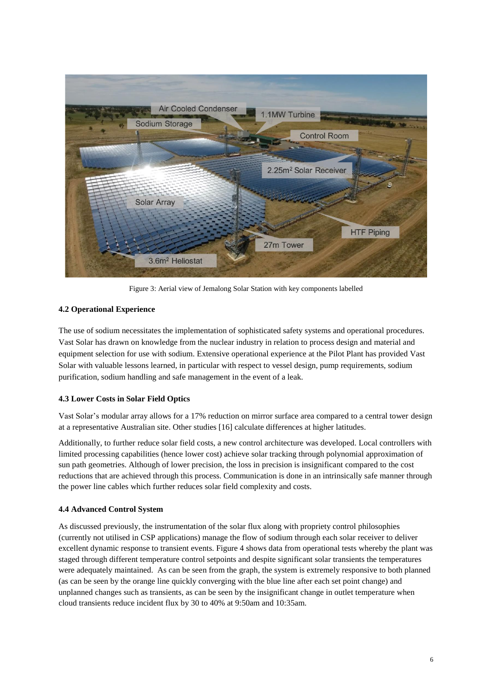

Figure 3: Aerial view of Jemalong Solar Station with key components labelled

# **4.2 Operational Experience**

The use of sodium necessitates the implementation of sophisticated safety systems and operational procedures. Vast Solar has drawn on knowledge from the nuclear industry in relation to process design and material and equipment selection for use with sodium. Extensive operational experience at the Pilot Plant has provided Vast Solar with valuable lessons learned, in particular with respect to vessel design, pump requirements, sodium purification, sodium handling and safe management in the event of a leak.

# **4.3 Lower Costs in Solar Field Optics**

Vast Solar's modular array allows for a 17% reduction on mirror surface area compared to a central tower design at a representative Australian site. Other studies [16] calculate differences at higher latitudes.

Additionally, to further reduce solar field costs, a new control architecture was developed. Local controllers with limited processing capabilities (hence lower cost) achieve solar tracking through polynomial approximation of sun path geometries. Although of lower precision, the loss in precision is insignificant compared to the cost reductions that are achieved through this process. Communication is done in an intrinsically safe manner through the power line cables which further reduces solar field complexity and costs.

# **4.4 Advanced Control System**

As discussed previously, the instrumentation of the solar flux along with propriety control philosophies (currently not utilised in CSP applications) manage the flow of sodium through each solar receiver to deliver excellent dynamic response to transient events. Figure 4 shows data from operational tests whereby the plant was staged through different temperature control setpoints and despite significant solar transients the temperatures were adequately maintained. As can be seen from the graph, the system is extremely responsive to both planned (as can be seen by the orange line quickly converging with the blue line after each set point change) and unplanned changes such as transients, as can be seen by the insignificant change in outlet temperature when cloud transients reduce incident flux by 30 to 40% at 9:50am and 10:35am.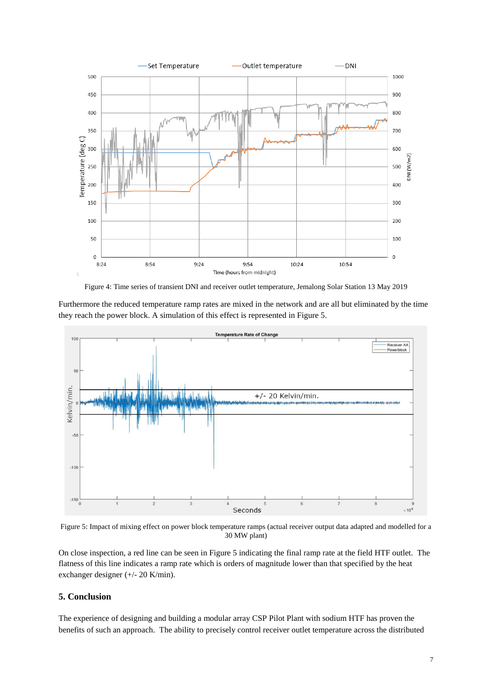

Figure 4: Time series of transient DNI and receiver outlet temperature, Jemalong Solar Station 13 May 2019

Furthermore the reduced temperature ramp rates are mixed in the network and are all but eliminated by the time they reach the power block. A simulation of this effect is represented in Figure 5.



Figure 5: Impact of mixing effect on power block temperature ramps (actual receiver output data adapted and modelled for a 30 MW plant)

On close inspection, a red line can be seen in Figure 5 indicating the final ramp rate at the field HTF outlet. The flatness of this line indicates a ramp rate which is orders of magnitude lower than that specified by the heat exchanger designer (+/- 20 K/min).

# **5. Conclusion**

The experience of designing and building a modular array CSP Pilot Plant with sodium HTF has proven the benefits of such an approach. The ability to precisely control receiver outlet temperature across the distributed